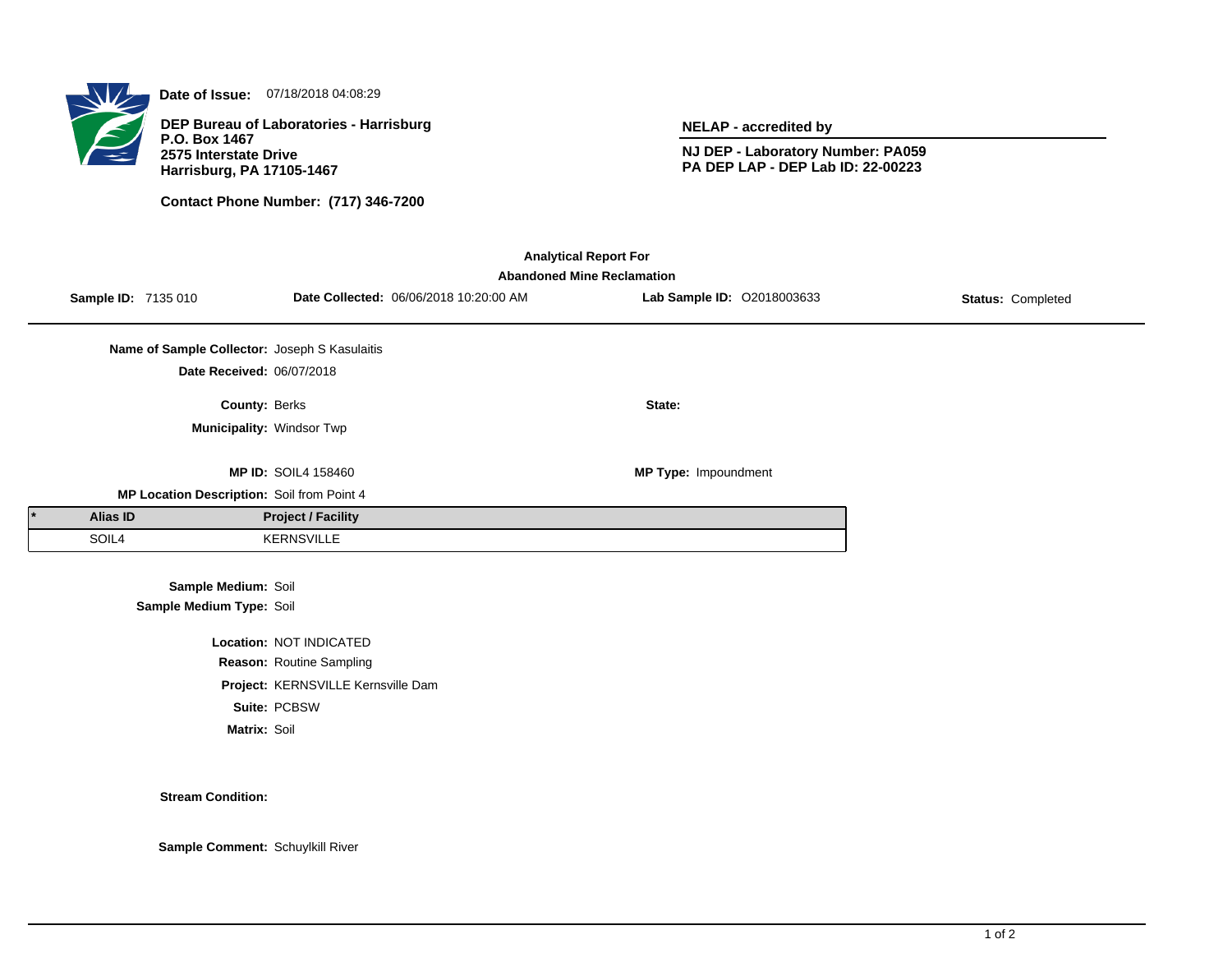

**Date of Issue:** 07/18/2018 04:08:29

**DEP Bureau of Laboratories - Harrisburg P.O. Box 1467 2575 Interstate Drive Harrisburg, PA 17105-1467**

**Contact Phone Number: (717) 346-7200**

**NELAP - accredited by**

**NJ DEP - Laboratory Number: PA059 PA DEP LAP - DEP Lab ID: 22-00223**

| <b>Analytical Report For</b><br><b>Abandoned Mine Reclamation</b> |                     |                                               |                                    |                                        |                            |                   |  |  |  |  |
|-------------------------------------------------------------------|---------------------|-----------------------------------------------|------------------------------------|----------------------------------------|----------------------------|-------------------|--|--|--|--|
|                                                                   | Sample ID: 7135 010 |                                               |                                    | Date Collected: 06/06/2018 10:20:00 AM | Lab Sample ID: 02018003633 | Status: Completed |  |  |  |  |
|                                                                   |                     | Name of Sample Collector: Joseph S Kasulaitis |                                    |                                        |                            |                   |  |  |  |  |
|                                                                   |                     | Date Received: 06/07/2018                     |                                    |                                        |                            |                   |  |  |  |  |
|                                                                   |                     | County: Berks                                 |                                    |                                        | State:                     |                   |  |  |  |  |
|                                                                   |                     | Municipality: Windsor Twp                     |                                    |                                        |                            |                   |  |  |  |  |
|                                                                   |                     |                                               | <b>MP ID: SOIL4 158460</b>         |                                        | MP Type: Impoundment       |                   |  |  |  |  |
| MP Location Description: Soil from Point 4                        |                     |                                               |                                    |                                        |                            |                   |  |  |  |  |
|                                                                   | Alias ID            |                                               | <b>Project / Facility</b>          |                                        |                            |                   |  |  |  |  |
|                                                                   | SOIL4               |                                               | <b>KERNSVILLE</b>                  |                                        |                            |                   |  |  |  |  |
|                                                                   |                     | Sample Medium: Soil                           |                                    |                                        |                            |                   |  |  |  |  |
|                                                                   |                     | Sample Medium Type: Soil                      |                                    |                                        |                            |                   |  |  |  |  |
|                                                                   |                     |                                               | Location: NOT INDICATED            |                                        |                            |                   |  |  |  |  |
|                                                                   |                     |                                               | Reason: Routine Sampling           |                                        |                            |                   |  |  |  |  |
|                                                                   |                     |                                               | Project: KERNSVILLE Kernsville Dam |                                        |                            |                   |  |  |  |  |

**Suite:** PCBSW

**Matrix:** Soil

**Stream Condition:**

**Sample Comment:** Schuylkill River